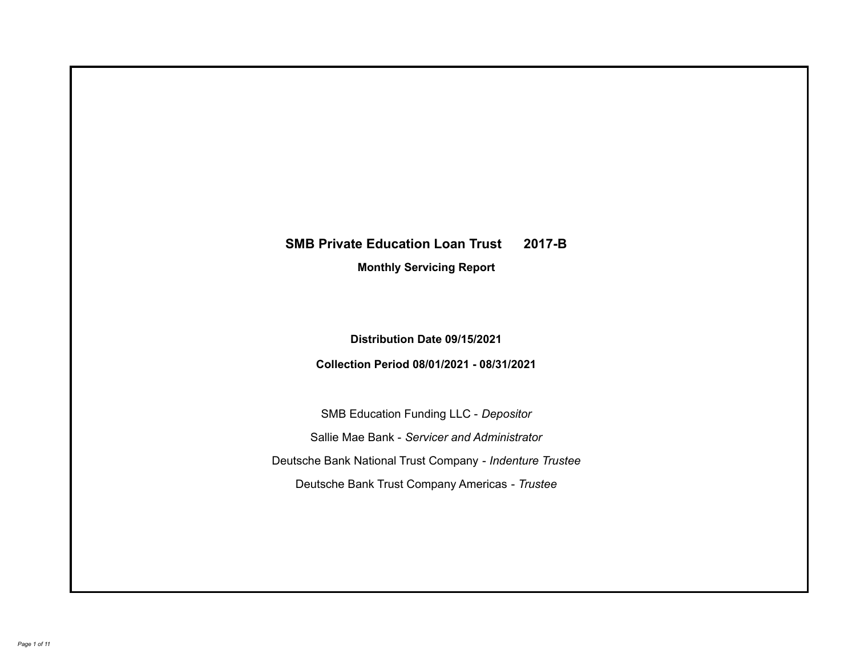# **SMB Private Education Loan Trust 2017-B**

**Monthly Servicing Report**

**Distribution Date 09/15/2021**

**Collection Period 08/01/2021 - 08/31/2021**

SMB Education Funding LLC - *Depositor* Sallie Mae Bank - *Servicer and Administrator* Deutsche Bank National Trust Company - *Indenture Trustee* Deutsche Bank Trust Company Americas - *Trustee*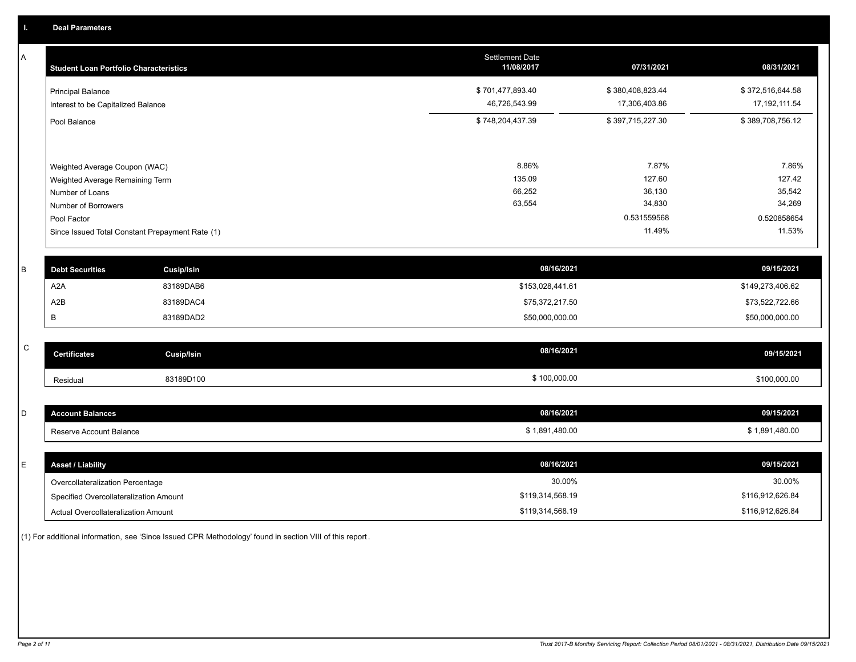A

| A            | <b>Student Loan Portfolio Characteristics</b>   |                   | <b>Settlement Date</b><br>11/08/2017 | 07/31/2021       | 08/31/2021       |
|--------------|-------------------------------------------------|-------------------|--------------------------------------|------------------|------------------|
|              | <b>Principal Balance</b>                        |                   | \$701,477,893.40                     | \$380,408,823.44 | \$372,516,644.58 |
|              | Interest to be Capitalized Balance              |                   | 46,726,543.99                        | 17,306,403.86    | 17, 192, 111.54  |
|              | Pool Balance                                    |                   | \$748,204,437.39                     | \$397,715,227.30 | \$389,708,756.12 |
|              |                                                 |                   |                                      |                  |                  |
|              | Weighted Average Coupon (WAC)                   |                   | 8.86%                                | 7.87%            | 7.86%            |
|              | Weighted Average Remaining Term                 |                   | 135.09                               | 127.60           | 127.42           |
|              | Number of Loans                                 |                   | 66,252<br>63,554                     | 36,130<br>34,830 | 35,542<br>34,269 |
|              | Number of Borrowers<br>Pool Factor              |                   |                                      | 0.531559568      | 0.520858654      |
|              | Since Issued Total Constant Prepayment Rate (1) |                   |                                      | 11.49%           | 11.53%           |
|              |                                                 |                   |                                      |                  |                  |
| B            | <b>Debt Securities</b>                          | <b>Cusip/Isin</b> | 08/16/2021                           |                  | 09/15/2021       |
|              | A <sub>2</sub> A                                | 83189DAB6         | \$153,028,441.61                     |                  | \$149,273,406.62 |
|              | A2B                                             | 83189DAC4         | \$75,372,217.50                      |                  | \$73,522,722.66  |
|              | B                                               | 83189DAD2         | \$50,000,000.00                      |                  | \$50,000,000.00  |
|              |                                                 |                   |                                      |                  |                  |
| $\mathsf{C}$ | <b>Certificates</b>                             | <b>Cusip/Isin</b> | 08/16/2021                           |                  | 09/15/2021       |
|              | Residual                                        | 83189D100         | \$100,000.00                         |                  | \$100,000.00     |
|              |                                                 |                   |                                      |                  |                  |
| D            | <b>Account Balances</b>                         |                   | 08/16/2021                           |                  | 09/15/2021       |
|              | Reserve Account Balance                         |                   | \$1,891,480.00                       |                  | \$1,891,480.00   |
|              |                                                 |                   |                                      |                  |                  |
| E            | <b>Asset / Liability</b>                        |                   | 08/16/2021                           |                  | 09/15/2021       |

Overcollateralization Percentage Actual Overcollateralization Amount \$119,314,568.19 Specified Overcollateralization Amount

(1) For additional information, see 'Since Issued CPR Methodology' found in section VIII of this report .

30.00% 30.00%

\$116,912,626.84 \$116,912,626.84

\$119,314,568.19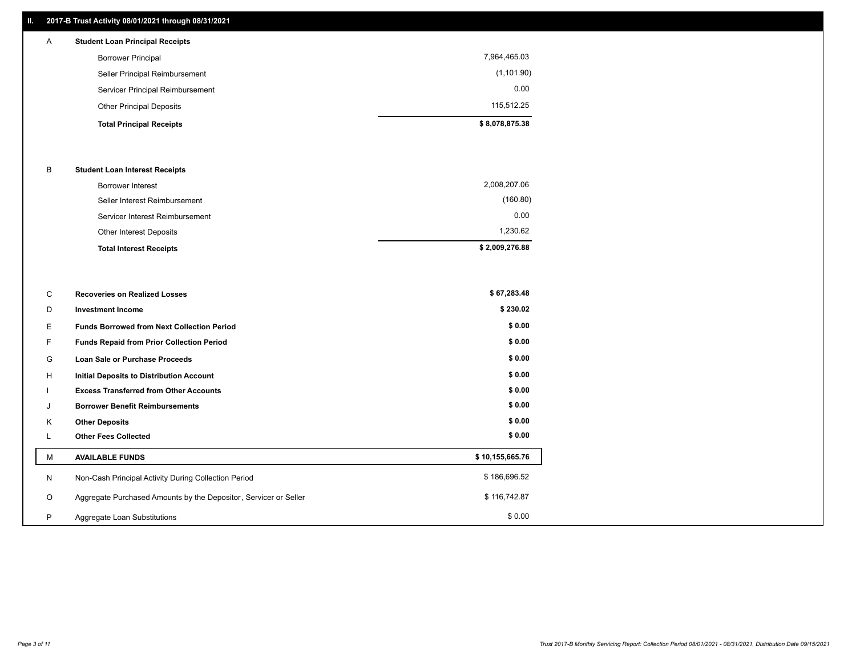# **II. 2017-B Trust Activity 08/01/2021 through 08/31/2021**

| A | <b>Student Loan Principal Receipts</b> |                |
|---|----------------------------------------|----------------|
|   | <b>Borrower Principal</b>              | 7,964,465.03   |
|   | Seller Principal Reimbursement         | (1, 101.90)    |
|   | Servicer Principal Reimbursement       | 0.00           |
|   | <b>Other Principal Deposits</b>        | 115.512.25     |
|   | <b>Total Principal Receipts</b>        | \$8,078,875.38 |

### B **Student Loan Interest Receipts**

| <b>Total Interest Receipts</b>  | \$2,009,276.88 |
|---------------------------------|----------------|
| Other Interest Deposits         | 1.230.62       |
| Servicer Interest Reimbursement | 0.00           |
| Seller Interest Reimbursement   | (160.80)       |
| Borrower Interest               | 2,008,207.06   |

| C       | <b>Recoveries on Realized Losses</b>                             | \$67,283.48     |
|---------|------------------------------------------------------------------|-----------------|
| D       | <b>Investment Income</b>                                         | \$230.02        |
| Е.      | <b>Funds Borrowed from Next Collection Period</b>                | \$0.00          |
| F.      | <b>Funds Repaid from Prior Collection Period</b>                 | \$0.00          |
| G       | Loan Sale or Purchase Proceeds                                   | \$0.00          |
| H       | <b>Initial Deposits to Distribution Account</b>                  | \$0.00          |
|         | <b>Excess Transferred from Other Accounts</b>                    | \$0.00          |
| J       | <b>Borrower Benefit Reimbursements</b>                           | \$0.00          |
| Κ       | <b>Other Deposits</b>                                            | \$0.00          |
|         | <b>Other Fees Collected</b>                                      | \$0.00          |
| М       | <b>AVAILABLE FUNDS</b>                                           | \$10,155,665.76 |
| N       | Non-Cash Principal Activity During Collection Period             | \$186,696.52    |
| $\circ$ | Aggregate Purchased Amounts by the Depositor, Servicer or Seller | \$116,742.87    |
| P       | Aggregate Loan Substitutions                                     | \$0.00          |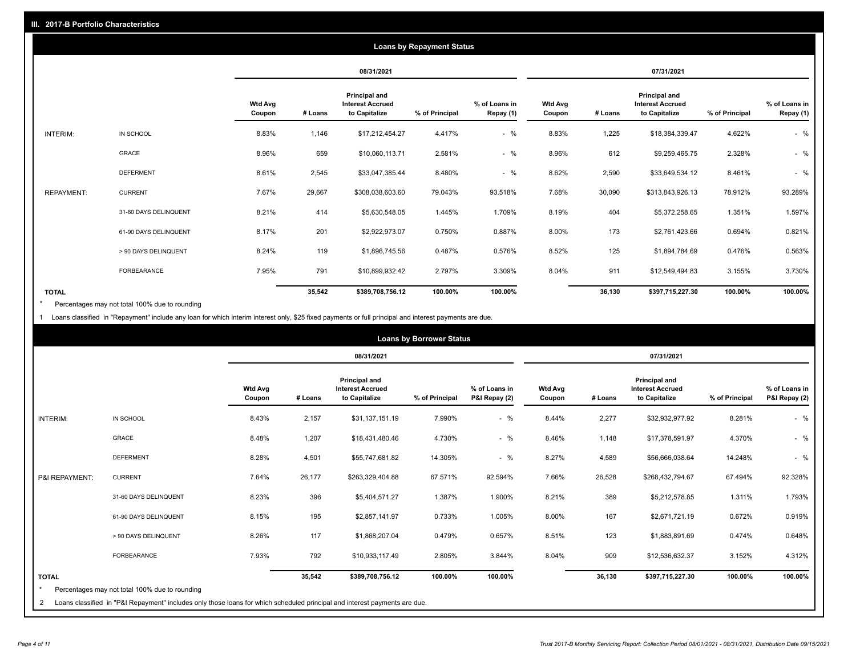|                   | <b>Loans by Repayment Status</b> |                   |            |                                                           |                |                            |                          |         |                                                           |                |                            |
|-------------------|----------------------------------|-------------------|------------|-----------------------------------------------------------|----------------|----------------------------|--------------------------|---------|-----------------------------------------------------------|----------------|----------------------------|
|                   |                                  |                   | 08/31/2021 |                                                           |                | 07/31/2021                 |                          |         |                                                           |                |                            |
|                   |                                  | Wtd Avg<br>Coupon | # Loans    | Principal and<br><b>Interest Accrued</b><br>to Capitalize | % of Principal | % of Loans in<br>Repay (1) | <b>Wtd Avg</b><br>Coupon | # Loans | Principal and<br><b>Interest Accrued</b><br>to Capitalize | % of Principal | % of Loans in<br>Repay (1) |
| INTERIM:          | IN SCHOOL                        | 8.83%             | 1,146      | \$17,212,454.27                                           | 4.417%         | $-$ %                      | 8.83%                    | 1,225   | \$18,384,339.47                                           | 4.622%         | $-$ %                      |
|                   | <b>GRACE</b>                     | 8.96%             | 659        | \$10,060,113.71                                           | 2.581%         | $-$ %                      | 8.96%                    | 612     | \$9,259,465.75                                            | 2.328%         | $-$ %                      |
|                   | <b>DEFERMENT</b>                 | 8.61%             | 2,545      | \$33,047,385.44                                           | 8.480%         | $-$ %                      | 8.62%                    | 2,590   | \$33,649,534.12                                           | 8.461%         | $-$ %                      |
| <b>REPAYMENT:</b> | <b>CURRENT</b>                   | 7.67%             | 29,667     | \$308,038,603.60                                          | 79.043%        | 93.518%                    | 7.68%                    | 30,090  | \$313,843,926.13                                          | 78.912%        | 93.289%                    |
|                   | 31-60 DAYS DELINQUENT            | 8.21%             | 414        | \$5,630,548.05                                            | 1.445%         | 1.709%                     | 8.19%                    | 404     | \$5,372,258.65                                            | 1.351%         | 1.597%                     |
|                   | 61-90 DAYS DELINQUENT            | 8.17%             | 201        | \$2,922,973.07                                            | 0.750%         | 0.887%                     | 8.00%                    | 173     | \$2,761,423.66                                            | 0.694%         | 0.821%                     |
|                   | > 90 DAYS DELINQUENT             | 8.24%             | 119        | \$1,896,745.56                                            | 0.487%         | 0.576%                     | 8.52%                    | 125     | \$1,894,784.69                                            | 0.476%         | 0.563%                     |
|                   | <b>FORBEARANCE</b>               | 7.95%             | 791        | \$10,899,932.42                                           | 2.797%         | 3.309%                     | 8.04%                    | 911     | \$12,549,494.83                                           | 3.155%         | 3.730%                     |
| <b>TOTAL</b>      |                                  |                   | 35,542     | \$389,708,756.12                                          | 100.00%        | 100.00%                    |                          | 36,130  | \$397,715,227.30                                          | 100.00%        | 100.00%                    |

Percentages may not total 100% due to rounding \*

1 Loans classified in "Repayment" include any loan for which interim interest only, \$25 fixed payments or full principal and interest payments are due.

|                              |                                                                                                                                                                              |                          | <b>Loans by Borrower Status</b> |                                                           |                |                                |                          |         |                                                           |                |                                |
|------------------------------|------------------------------------------------------------------------------------------------------------------------------------------------------------------------------|--------------------------|---------------------------------|-----------------------------------------------------------|----------------|--------------------------------|--------------------------|---------|-----------------------------------------------------------|----------------|--------------------------------|
|                              |                                                                                                                                                                              |                          |                                 | 08/31/2021                                                |                |                                | 07/31/2021               |         |                                                           |                |                                |
|                              |                                                                                                                                                                              | <b>Wtd Avg</b><br>Coupon | # Loans                         | Principal and<br><b>Interest Accrued</b><br>to Capitalize | % of Principal | % of Loans in<br>P&I Repay (2) | <b>Wtd Avg</b><br>Coupon | # Loans | Principal and<br><b>Interest Accrued</b><br>to Capitalize | % of Principal | % of Loans in<br>P&I Repay (2) |
| <b>INTERIM:</b>              | IN SCHOOL                                                                                                                                                                    | 8.43%                    | 2,157                           | \$31,137,151.19                                           | 7.990%         | $-$ %                          | 8.44%                    | 2,277   | \$32,932,977.92                                           | 8.281%         | $-$ %                          |
|                              | <b>GRACE</b>                                                                                                                                                                 | 8.48%                    | 1,207                           | \$18,431,480.46                                           | 4.730%         | $-$ %                          | 8.46%                    | 1,148   | \$17,378,591.97                                           | 4.370%         | $-$ %                          |
|                              | <b>DEFERMENT</b>                                                                                                                                                             | 8.28%                    | 4,501                           | \$55,747,681.82                                           | 14.305%        | $-$ %                          | 8.27%                    | 4,589   | \$56,666,038.64                                           | 14.248%        | $-$ %                          |
| P&I REPAYMENT:               | <b>CURRENT</b>                                                                                                                                                               | 7.64%                    | 26,177                          | \$263,329,404.88                                          | 67.571%        | 92.594%                        | 7.66%                    | 26,528  | \$268,432,794.67                                          | 67.494%        | 92.328%                        |
|                              | 31-60 DAYS DELINQUENT                                                                                                                                                        | 8.23%                    | 396                             | \$5,404,571.27                                            | 1.387%         | 1.900%                         | 8.21%                    | 389     | \$5,212,578.85                                            | 1.311%         | 1.793%                         |
|                              | 61-90 DAYS DELINQUENT                                                                                                                                                        | 8.15%                    | 195                             | \$2,857,141.97                                            | 0.733%         | 1.005%                         | 8.00%                    | 167     | \$2,671,721.19                                            | 0.672%         | 0.919%                         |
|                              | > 90 DAYS DELINQUENT                                                                                                                                                         | 8.26%                    | 117                             | \$1,868,207.04                                            | 0.479%         | 0.657%                         | 8.51%                    | 123     | \$1,883,891.69                                            | 0.474%         | 0.648%                         |
|                              | FORBEARANCE                                                                                                                                                                  | 7.93%                    | 792                             | \$10,933,117.49                                           | 2.805%         | 3.844%                         | 8.04%                    | 909     | \$12,536,632.37                                           | 3.152%         | 4.312%                         |
| <b>TOTAL</b><br>$\star$<br>2 | Percentages may not total 100% due to rounding<br>Loans classified in "P&I Repayment" includes only those loans for which scheduled principal and interest payments are due. |                          | 35,542                          | \$389,708,756.12                                          | 100.00%        | 100.00%                        |                          | 36,130  | \$397,715,227.30                                          | 100.00%        | 100.00%                        |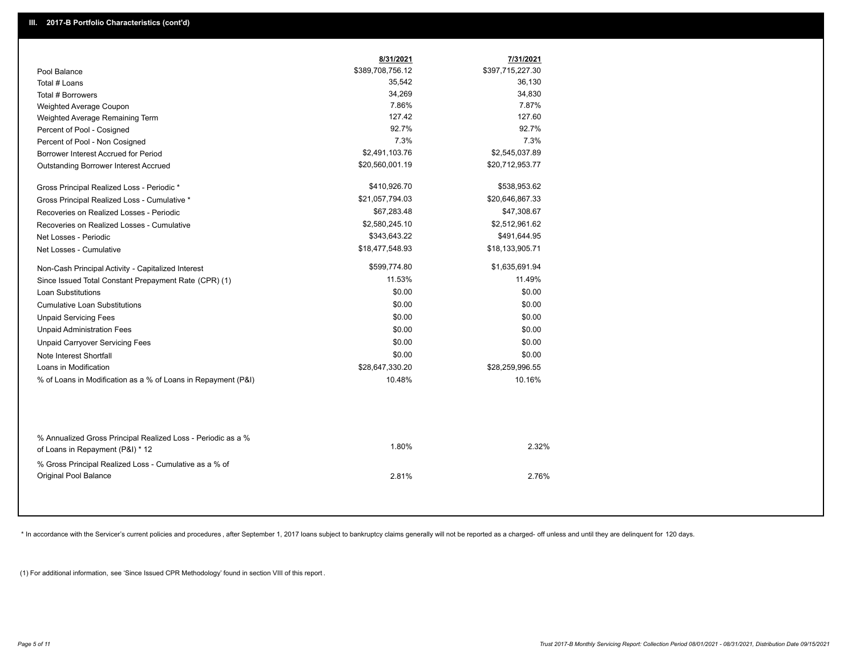|                                                               | 8/31/2021        | 7/31/2021        |
|---------------------------------------------------------------|------------------|------------------|
| Pool Balance                                                  | \$389,708,756.12 | \$397,715,227.30 |
| Total # Loans                                                 | 35,542           | 36,130           |
| Total # Borrowers                                             | 34,269           | 34,830           |
| Weighted Average Coupon                                       | 7.86%            | 7.87%            |
| Weighted Average Remaining Term                               | 127.42           | 127.60           |
| Percent of Pool - Cosigned                                    | 92.7%            | 92.7%            |
| Percent of Pool - Non Cosigned                                | 7.3%             | 7.3%             |
| Borrower Interest Accrued for Period                          | \$2,491,103.76   | \$2,545,037.89   |
| Outstanding Borrower Interest Accrued                         | \$20,560,001.19  | \$20,712,953.77  |
| Gross Principal Realized Loss - Periodic *                    | \$410,926.70     | \$538,953.62     |
| Gross Principal Realized Loss - Cumulative *                  | \$21,057,794.03  | \$20,646,867.33  |
| Recoveries on Realized Losses - Periodic                      | \$67,283.48      | \$47,308.67      |
| Recoveries on Realized Losses - Cumulative                    | \$2,580,245.10   | \$2,512,961.62   |
| Net Losses - Periodic                                         | \$343,643.22     | \$491,644.95     |
| Net Losses - Cumulative                                       | \$18,477,548.93  | \$18,133,905.71  |
| Non-Cash Principal Activity - Capitalized Interest            | \$599,774.80     | \$1,635,691.94   |
| Since Issued Total Constant Prepayment Rate (CPR) (1)         | 11.53%           | 11.49%           |
| <b>Loan Substitutions</b>                                     | \$0.00           | \$0.00           |
| <b>Cumulative Loan Substitutions</b>                          | \$0.00           | \$0.00           |
| <b>Unpaid Servicing Fees</b>                                  | \$0.00           | \$0.00           |
| <b>Unpaid Administration Fees</b>                             | \$0.00           | \$0.00           |
| <b>Unpaid Carryover Servicing Fees</b>                        | \$0.00           | \$0.00           |
| Note Interest Shortfall                                       | \$0.00           | \$0.00           |
| Loans in Modification                                         | \$28,647,330.20  | \$28,259,996.55  |
| % of Loans in Modification as a % of Loans in Repayment (P&I) | 10.48%           | 10.16%           |
|                                                               |                  |                  |
| % Annualized Gross Principal Realized Loss - Periodic as a %  | 1.80%            | 2.32%            |
| of Loans in Repayment (P&I) * 12                              |                  |                  |
| % Gross Principal Realized Loss - Cumulative as a % of        |                  |                  |
| <b>Original Pool Balance</b>                                  | 2.81%            | 2.76%            |

\* In accordance with the Servicer's current policies and procedures, after September 1, 2017 loans subject to bankruptcy claims generally will not be reported as a charged- off unless and until they are delinquent for 120

(1) For additional information, see 'Since Issued CPR Methodology' found in section VIII of this report .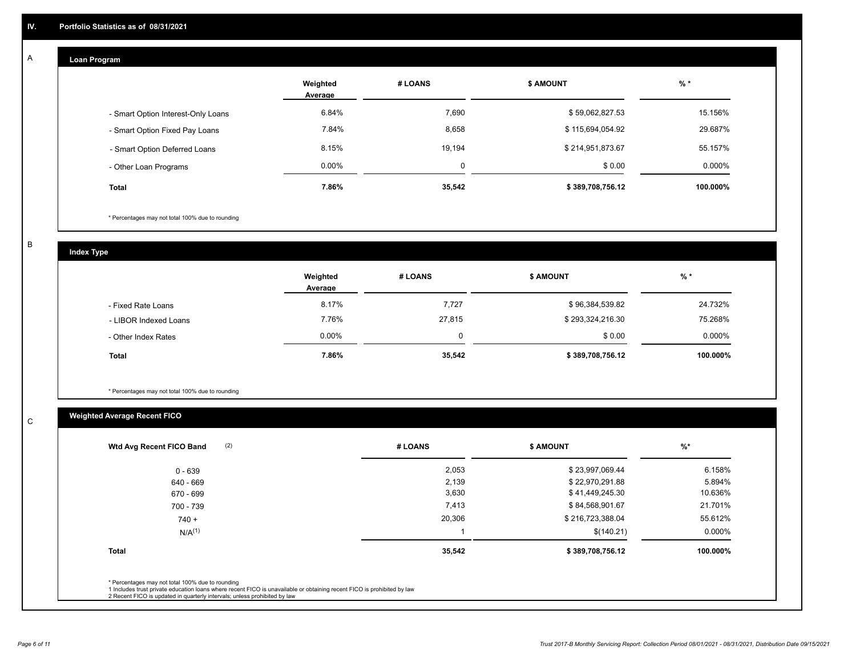#### **Loan Program**  A

|                                    | Weighted<br>Average | # LOANS  | <b>\$ AMOUNT</b> | $%$ *    |
|------------------------------------|---------------------|----------|------------------|----------|
| - Smart Option Interest-Only Loans | 6.84%               | 7,690    | \$59,062,827.53  | 15.156%  |
| - Smart Option Fixed Pay Loans     | 7.84%               | 8,658    | \$115,694,054.92 | 29.687%  |
| - Smart Option Deferred Loans      | 8.15%               | 19.194   | \$214,951,873.67 | 55.157%  |
| - Other Loan Programs              | $0.00\%$            | $\Omega$ | \$0.00           | 0.000%   |
| Total                              | 7.86%               | 35,542   | \$389,708,756.12 | 100.000% |

\* Percentages may not total 100% due to rounding

B

C

**Index Type**

|                       | Weighted<br>Average | # LOANS | <b>\$ AMOUNT</b> | % *      |
|-----------------------|---------------------|---------|------------------|----------|
| - Fixed Rate Loans    | 8.17%               | 7,727   | \$96,384,539.82  | 24.732%  |
| - LIBOR Indexed Loans | 7.76%               | 27,815  | \$293,324,216.30 | 75.268%  |
| - Other Index Rates   | $0.00\%$            | 0       | \$0.00           | 0.000%   |
| <b>Total</b>          | 7.86%               | 35,542  | \$389,708,756.12 | 100.000% |

\* Percentages may not total 100% due to rounding

# **Weighted Average Recent FICO**

| (2)<br>Wtd Avg Recent FICO Band                                                                                                                                                                                                                          | # LOANS | \$ AMOUNT        | $\frac{9}{6}$ * |
|----------------------------------------------------------------------------------------------------------------------------------------------------------------------------------------------------------------------------------------------------------|---------|------------------|-----------------|
| $0 - 639$                                                                                                                                                                                                                                                | 2,053   | \$23,997,069.44  | 6.158%          |
| 640 - 669                                                                                                                                                                                                                                                | 2,139   | \$22,970,291.88  | 5.894%          |
| 670 - 699                                                                                                                                                                                                                                                | 3,630   | \$41,449,245.30  | 10.636%         |
| 700 - 739                                                                                                                                                                                                                                                | 7,413   | \$84,568,901.67  | 21.701%         |
| $740 +$                                                                                                                                                                                                                                                  | 20,306  | \$216,723,388.04 | 55.612%         |
| $N/A^{(1)}$                                                                                                                                                                                                                                              |         | \$(140.21)       | 0.000%          |
| <b>Total</b>                                                                                                                                                                                                                                             | 35,542  | \$389,708,756.12 | 100.000%        |
| * Percentages may not total 100% due to rounding<br>1 Includes trust private education loans where recent FICO is unavailable or obtaining recent FICO is prohibited by law<br>2 Recent FICO is updated in quarterly intervals; unless prohibited by law |         |                  |                 |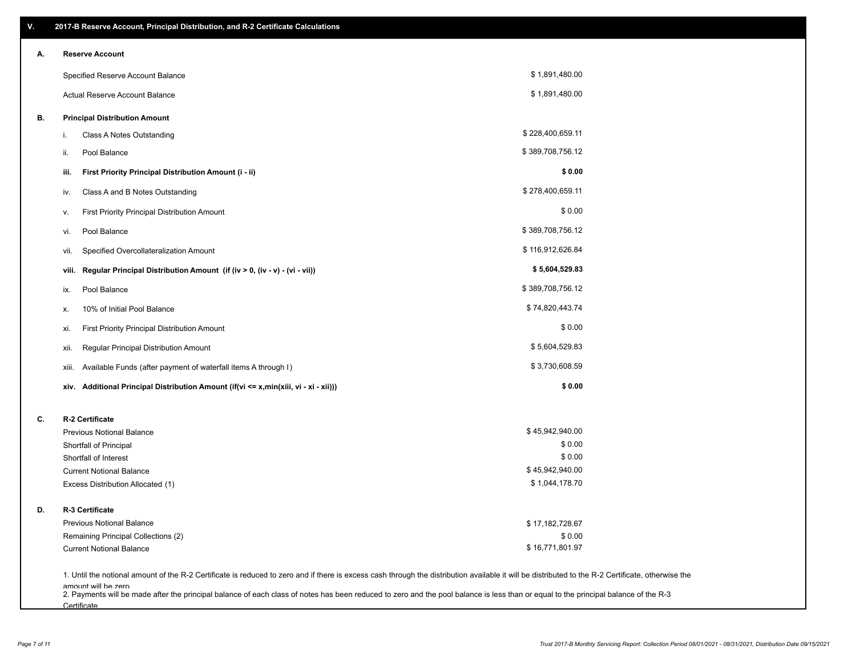| ۷. | 2017-B Reserve Account, Principal Distribution, and R-2 Certificate Calculations                                                                                                                                          |                  |  |
|----|---------------------------------------------------------------------------------------------------------------------------------------------------------------------------------------------------------------------------|------------------|--|
| Α. | <b>Reserve Account</b>                                                                                                                                                                                                    |                  |  |
|    | Specified Reserve Account Balance                                                                                                                                                                                         | \$1,891,480.00   |  |
|    | Actual Reserve Account Balance                                                                                                                                                                                            | \$1,891,480.00   |  |
| В. | <b>Principal Distribution Amount</b>                                                                                                                                                                                      |                  |  |
|    | Class A Notes Outstanding<br>i.                                                                                                                                                                                           | \$228,400,659.11 |  |
|    | Pool Balance<br>ii.                                                                                                                                                                                                       | \$389,708,756.12 |  |
|    | First Priority Principal Distribution Amount (i - ii)<br>iii.                                                                                                                                                             | \$0.00           |  |
|    | Class A and B Notes Outstanding<br>iv.                                                                                                                                                                                    | \$278,400,659.11 |  |
|    | First Priority Principal Distribution Amount<br>۷.                                                                                                                                                                        | \$0.00           |  |
|    | Pool Balance<br>VI.                                                                                                                                                                                                       | \$389,708,756.12 |  |
|    | Specified Overcollateralization Amount<br>vii.                                                                                                                                                                            | \$116,912,626.84 |  |
|    | Regular Principal Distribution Amount (if (iv > 0, (iv - v) - (vi - vii))<br>viii.                                                                                                                                        | \$5,604,529.83   |  |
|    | Pool Balance<br>ix.                                                                                                                                                                                                       | \$389,708,756.12 |  |
|    | 10% of Initial Pool Balance<br>х.                                                                                                                                                                                         | \$74,820,443.74  |  |
|    | First Priority Principal Distribution Amount<br>xi.                                                                                                                                                                       | \$0.00           |  |
|    | Regular Principal Distribution Amount<br>xii.                                                                                                                                                                             | \$5,604,529.83   |  |
|    | Available Funds (after payment of waterfall items A through I)<br>xiii.                                                                                                                                                   | \$3,730,608.59   |  |
|    | Additional Principal Distribution Amount (if(vi <= x,min(xiii, vi - xi - xii)))<br>xiv.                                                                                                                                   | \$0.00           |  |
| C. | R-2 Certificate                                                                                                                                                                                                           |                  |  |
|    | <b>Previous Notional Balance</b>                                                                                                                                                                                          | \$45,942,940.00  |  |
|    | Shortfall of Principal                                                                                                                                                                                                    | \$0.00           |  |
|    | Shortfall of Interest                                                                                                                                                                                                     | \$0.00           |  |
|    | <b>Current Notional Balance</b>                                                                                                                                                                                           | \$45,942,940.00  |  |
|    | Excess Distribution Allocated (1)                                                                                                                                                                                         | \$1,044,178.70   |  |
| D. | R-3 Certificate                                                                                                                                                                                                           |                  |  |
|    | <b>Previous Notional Balance</b>                                                                                                                                                                                          | \$17,182,728.67  |  |
|    | Remaining Principal Collections (2)                                                                                                                                                                                       | \$0.00           |  |
|    | <b>Current Notional Balance</b>                                                                                                                                                                                           | \$16,771,801.97  |  |
|    | 1. Until the notional amount of the R-2 Certificate is reduced to zero and if there is excess cash through the distribution available it will be distributed to the R-2 Certificate, otherwise the<br>amount will be zero |                  |  |

amount will be zero<br>2. Payments will be made after the principal balance of each class of notes has been reduced to zero and the pool balance is less than or equal to the principal balance of the R-3 **Certificate**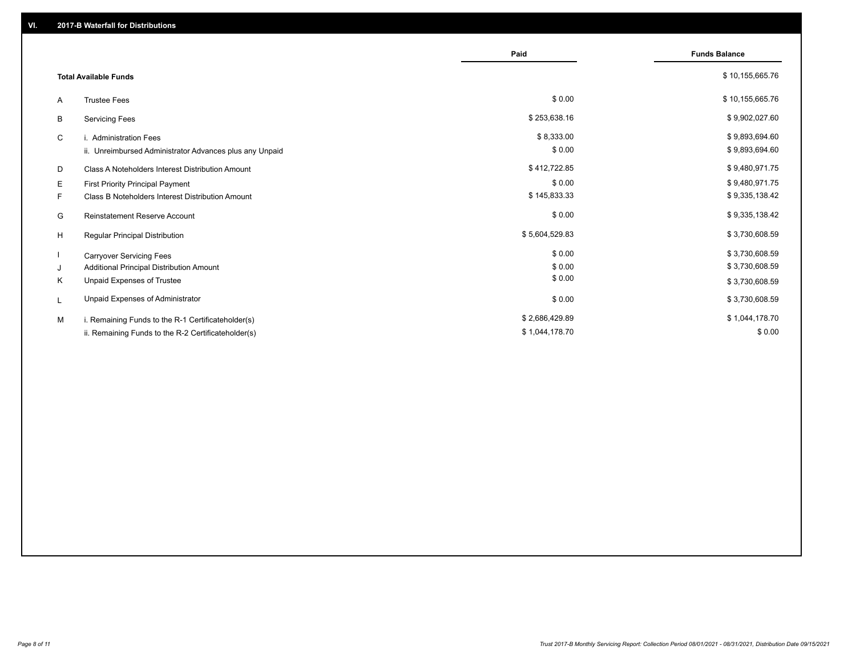|    |                                                         | Paid           | <b>Funds Balance</b> |
|----|---------------------------------------------------------|----------------|----------------------|
|    | <b>Total Available Funds</b>                            |                | \$10,155,665.76      |
| A  | <b>Trustee Fees</b>                                     | \$0.00         | \$10,155,665.76      |
| В  | <b>Servicing Fees</b>                                   | \$253,638.16   | \$9,902,027.60       |
| C  | i. Administration Fees                                  | \$8,333.00     | \$9,893,694.60       |
|    | ii. Unreimbursed Administrator Advances plus any Unpaid | \$0.00         | \$9,893,694.60       |
| D  | Class A Noteholders Interest Distribution Amount        | \$412,722.85   | \$9,480,971.75       |
| Е  | First Priority Principal Payment                        | \$0.00         | \$9,480,971.75       |
| F. | Class B Noteholders Interest Distribution Amount        | \$145,833.33   | \$9,335,138.42       |
| G  | <b>Reinstatement Reserve Account</b>                    | \$0.00         | \$9,335,138.42       |
| H  | Regular Principal Distribution                          | \$5,604,529.83 | \$3,730,608.59       |
|    | <b>Carryover Servicing Fees</b>                         | \$0.00         | \$3,730,608.59       |
| J  | Additional Principal Distribution Amount                | \$0.00         | \$3,730,608.59       |
| Κ  | Unpaid Expenses of Trustee                              | \$0.00         | \$3,730,608.59       |
| L  | Unpaid Expenses of Administrator                        | \$0.00         | \$3,730,608.59       |
| M  | i. Remaining Funds to the R-1 Certificateholder(s)      | \$2,686,429.89 | \$1,044,178.70       |
|    | ii. Remaining Funds to the R-2 Certificateholder(s)     | \$1,044,178.70 | \$0.00               |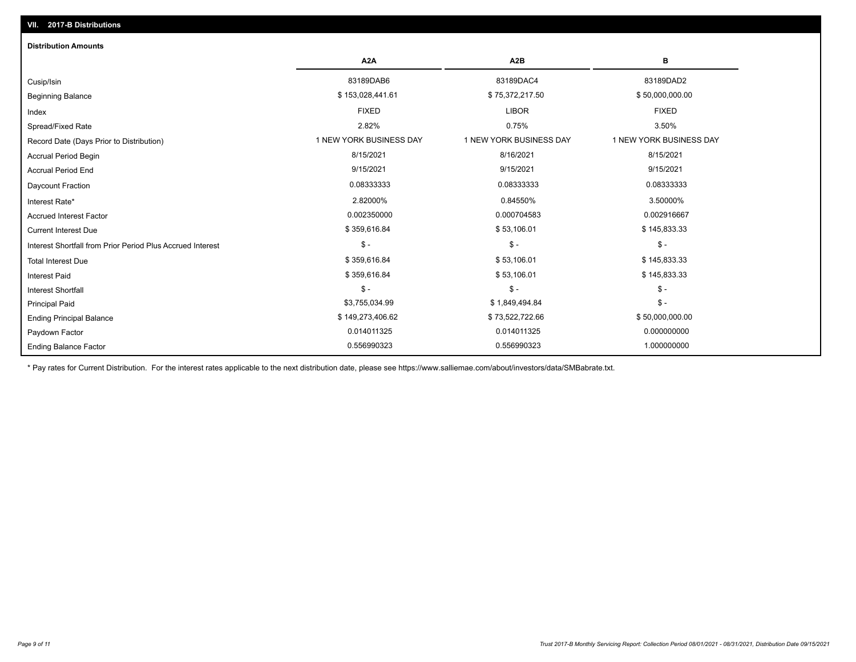| <b>Distribution Amounts</b>                                |                         |                         |                         |
|------------------------------------------------------------|-------------------------|-------------------------|-------------------------|
|                                                            | A <sub>2</sub> A        | A <sub>2</sub> B        | в                       |
| Cusip/Isin                                                 | 83189DAB6               | 83189DAC4               | 83189DAD2               |
| <b>Beginning Balance</b>                                   | \$153,028,441.61        | \$75,372,217.50         | \$50,000,000.00         |
| Index                                                      | <b>FIXED</b>            | <b>LIBOR</b>            | <b>FIXED</b>            |
| Spread/Fixed Rate                                          | 2.82%                   | 0.75%                   | 3.50%                   |
| Record Date (Days Prior to Distribution)                   | 1 NEW YORK BUSINESS DAY | 1 NEW YORK BUSINESS DAY | 1 NEW YORK BUSINESS DAY |
| <b>Accrual Period Begin</b>                                | 8/15/2021               | 8/16/2021               | 8/15/2021               |
| <b>Accrual Period End</b>                                  | 9/15/2021               | 9/15/2021               | 9/15/2021               |
| <b>Daycount Fraction</b>                                   | 0.08333333              | 0.08333333              | 0.08333333              |
| Interest Rate*                                             | 2.82000%                | 0.84550%                | 3.50000%                |
| <b>Accrued Interest Factor</b>                             | 0.002350000             | 0.000704583             | 0.002916667             |
| <b>Current Interest Due</b>                                | \$359,616.84            | \$53,106.01             | \$145,833.33            |
| Interest Shortfall from Prior Period Plus Accrued Interest | $\frac{1}{2}$           | $\mathsf{\$}$ -         | $\mathcal{S}$ -         |
| <b>Total Interest Due</b>                                  | \$359,616.84            | \$53,106.01             | \$145,833.33            |
| <b>Interest Paid</b>                                       | \$359,616.84            | \$53,106.01             | \$145,833.33            |
| Interest Shortfall                                         | $\mathsf{\$}$ -         | $$ -$                   | $$ -$                   |
| <b>Principal Paid</b>                                      | \$3,755,034.99          | \$1,849,494.84          | $$ -$                   |
| <b>Ending Principal Balance</b>                            | \$149,273,406.62        | \$73,522,722.66         | \$50,000,000.00         |
| Paydown Factor                                             | 0.014011325             | 0.014011325             | 0.000000000             |
| <b>Ending Balance Factor</b>                               | 0.556990323             | 0.556990323             | 1.000000000             |

\* Pay rates for Current Distribution. For the interest rates applicable to the next distribution date, please see https://www.salliemae.com/about/investors/data/SMBabrate.txt.

**VII. 2017-B Distributions**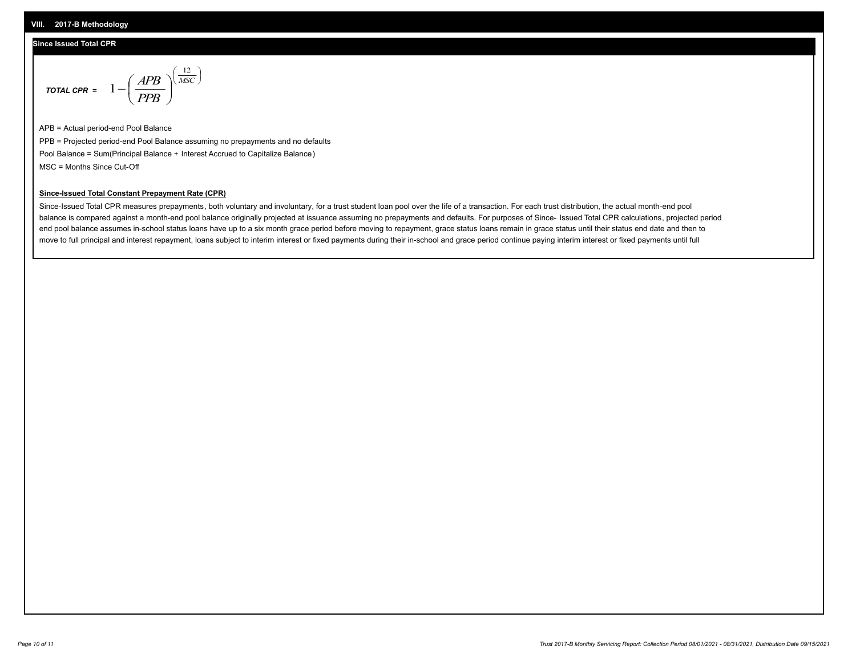#### **VIII. 2017-B Methodology**

### **Since Issued Total CPR**

$$
\text{total CPR} = 1 - \left(\frac{APB}{PPB}\right)^{\left(\frac{12}{MSC}\right)}
$$

APB = Actual period-end Pool Balance PPB = Projected period-end Pool Balance assuming no prepayments and no defaults Pool Balance = Sum(Principal Balance + Interest Accrued to Capitalize Balance) MSC = Months Since Cut-Off

 $\overline{\phantom{a}}$ J λ

## **Since-Issued Total Constant Prepayment Rate (CPR)**

Since-Issued Total CPR measures prepayments, both voluntary and involuntary, for a trust student loan pool over the life of a transaction. For each trust distribution, the actual month-end pool balance is compared against a month-end pool balance originally projected at issuance assuming no prepayments and defaults. For purposes of Since- Issued Total CPR calculations, projected period end pool balance assumes in-school status loans have up to a six month grace period before moving to repayment, grace status loans remain in grace status until their status end date and then to move to full principal and interest repayment, loans subject to interim interest or fixed payments during their in-school and grace period continue paying interim interest or fixed payments until full